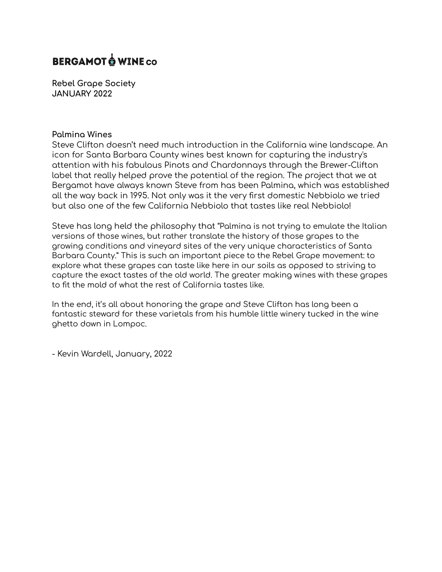# **BERGAMOT O WINE CO**

**Rebel Grape Society JANUARY 2022**

#### **Palmina Wines**

Steve Clifton doesn't need much introduction in the California wine landscape. An icon for Santa Barbara County wines best known for capturing the industry's attention with his fabulous Pinots and Chardonnays through the Brewer-Clifton label that really helped prove the potential of the region. The project that we at Bergamot have always known Steve from has been Palmina, which was established all the way back in 1995. Not only was it the very first domestic Nebbiolo we tried but also one of the few California Nebbiolo that tastes like real Nebbiolo!

Steve has long held the philosophy that "Palmina is not trying to emulate the Italian versions of those wines, but rather translate the history of those grapes to the growing conditions and vineyard sites of the very unique characteristics of Santa Barbara County." This is such an important piece to the Rebel Grape movement: to explore what these grapes can taste like here in our soils as opposed to striving to capture the exact tastes of the old world. The greater making wines with these grapes to fit the mold of what the rest of California tastes like.

In the end, it's all about honoring the grape and Steve Clifton has long been a fantastic steward for these varietals from his humble little winery tucked in the wine ghetto down in Lompoc.

- Kevin Wardell, January, 2022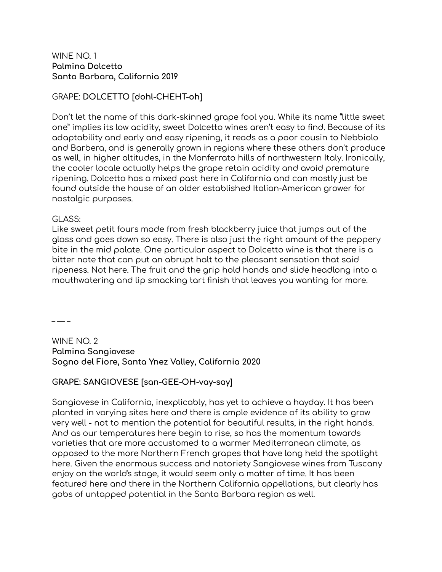#### WINE NO. 1 **Palmina Dolcetto Santa Barbara, California 2019**

# GRAPE: **DOLCETTO [dohl-CHEHT-oh]**

Don't let the name of this dark-skinned grape fool you. While its name "little sweet one" implies its low acidity, sweet Dolcetto wines aren't easy to find. Because of its adaptability and early and easy ripening, it reads as a poor cousin to Nebbiolo and Barbera, and is generally grown in regions where these others don't produce as well, in higher altitudes, in the Monferrato hills of northwestern Italy. Ironically, the cooler locale actually helps the grape retain acidity and avoid premature ripening. Dolcetto has a mixed past here in California and can mostly just be found outside the house of an older established Italian-American grower for nostalgic purposes.

#### GLASS:

Like sweet petit fours made from fresh blackberry juice that jumps out of the glass and goes down so easy. There is also just the right amount of the peppery bite in the mid palate. One particular aspect to Dolcetto wine is that there is a bitter note that can put an abrupt halt to the pleasant sensation that said ripeness. Not here. The fruit and the grip hold hands and slide headlong into a mouthwatering and lip smacking tart finish that leaves you wanting for more.

– — –

WINE NO. 2 **Palmina Sangiovese Sogno del Fiore, Santa Ynez Valley, California 2020**

# **GRAPE: SANGIOVESE [san-GEE-OH-vay-say]**

Sangiovese in California, inexplicably, has yet to achieve a hayday. It has been planted in varying sites here and there is ample evidence of its ability to grow very well - not to mention the potential for beautiful results, in the right hands. And as our temperatures here begin to rise, so has the momentum towards varieties that are more accustomed to a warmer Mediterranean climate, as opposed to the more Northern French grapes that have long held the spotlight here. Given the enormous success and notoriety Sangiovese wines from Tuscany enjoy on the world's stage, it would seem only a matter of time. It has been featured here and there in the Northern California appellations, but clearly has gobs of untapped potential in the Santa Barbara region as well.